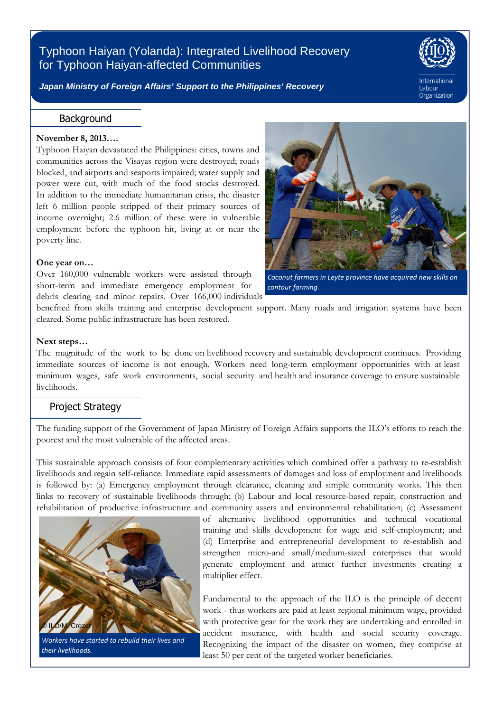# Typhoon Haiyan (Yolanda): Integrated Livelihood Recovery for Typhoon Haiyan-affected Communities



Labour Organization

**Japan Ministry of Foreign Affairs' Support to the Philippines' Recovery** 

## **Background**

#### **November 8, 2013….**

Ī

Typhoon Haiyan devastated the Philippines: cities, towns and communities across the Visayas region were destroyed; roads blocked, and airports and seaports impaired; water supply and power were cut, with much of the food stocks destroyed. In addition to the immediate humanitarian crisis, the disaster left 6 million people stripped of their primary sources of income overnight; 2.6 million of these were in vulnerable employment before the typhoon hit, living at or near the poverty line.

#### **One year on…**

Over 160,000 vulnerable workers were assisted through short-term and immediate emergency employment for debris clearing and minor repairs. Over 166,000 individuals



*Coconut farmers in Leyte province have acquired new skills on contour farming.* 

benefited from skills training and enterprise development support. Many roads and irrigation systems have been cleared. Some public infrastructure has been restored.

#### **Next steps…**

I

The magnitude of the work to be done on livelihood recovery and sustainable development continues. Providing immediate sources of income is not enough. Workers need long-term employment opportunities with at least minimum wages, safe work environments, social security and health and insurance coverage to ensure sustainable livelihoods.

### Project Strategy

The funding support of the Government of Japan Ministry of Foreign Affairs supports the ILO's efforts to reach the poorest and the most vulnerable of the affected areas.

This sustainable approach consists of four complementary activities which combined offer a pathway to re-establish livelihoods and regain self-reliance. Immediate rapid assessments of damages and loss of employment and livelihoods is followed by: (a) Emergency employment through clearance, cleaning and simple community works. This then links to recovery of sustainable livelihoods through; (b) Labour and local resource-based repair, construction and rehabilitation of productive infrastructure and community assets and environmental rehabilitation; (c) Assessment



*Workers have started to rebuild their lives and their livelihoods.* 

of alternative livelihood opportunities and technical vocational training and skills development for wage and self-employment; and (d) Enterprise and entrepreneurial development to re-establish and strengthen micro-and small/medium-sized enterprises that would generate employment and attract further investments creating a multiplier effect.

Fundamental to the approach of the ILO is the principle of decent work - thus workers are paid at least regional minimum wage, provided with protective gear for the work they are undertaking and enrolled in accident insurance, with health and social security coverage. Recognizing the impact of the disaster on women, they comprise at least 50 per cent of the targeted worker beneficiaries.